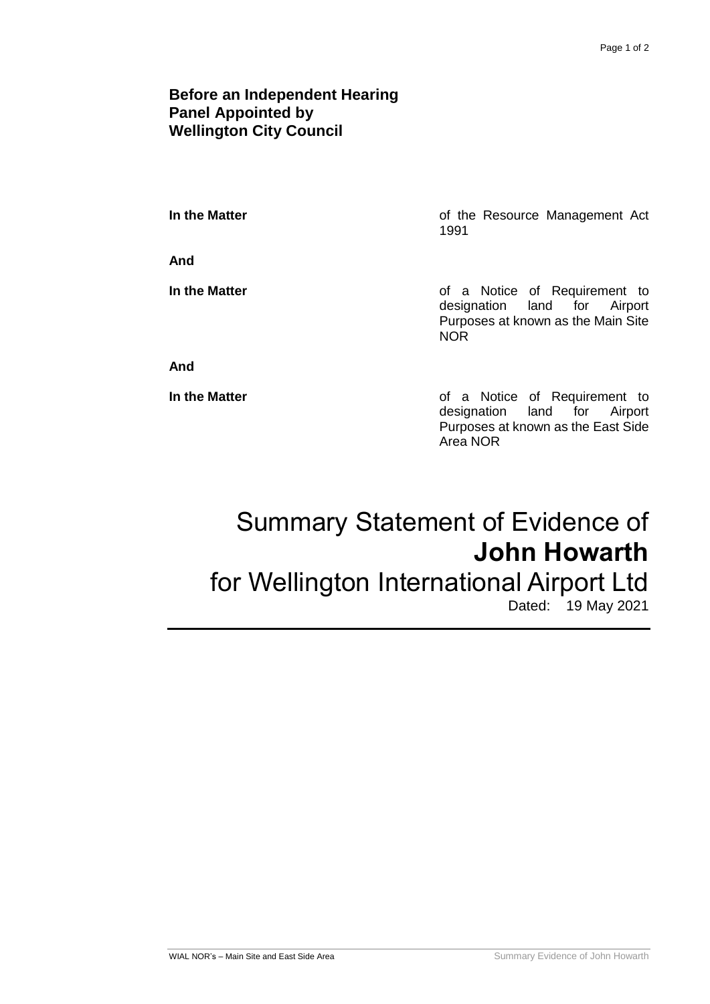## **Before an Independent Hearing Panel Appointed by Wellington City Council**

**And**

**In the Matter In the Matter of the Resource Management Act** 1991

**In the Matter In the Matter of a Notice of Requirement to** designation land for Airport Purposes at known as the Main Site NOR

### **And**

**In the Matter In the Matter of a Notice of Requirement to** designation land for Airport Purposes at known as the East Side Area NOR

# Summary Statement of Evidence of **John Howarth**

# for Wellington International Airport Ltd

Dated: 19 May 2021